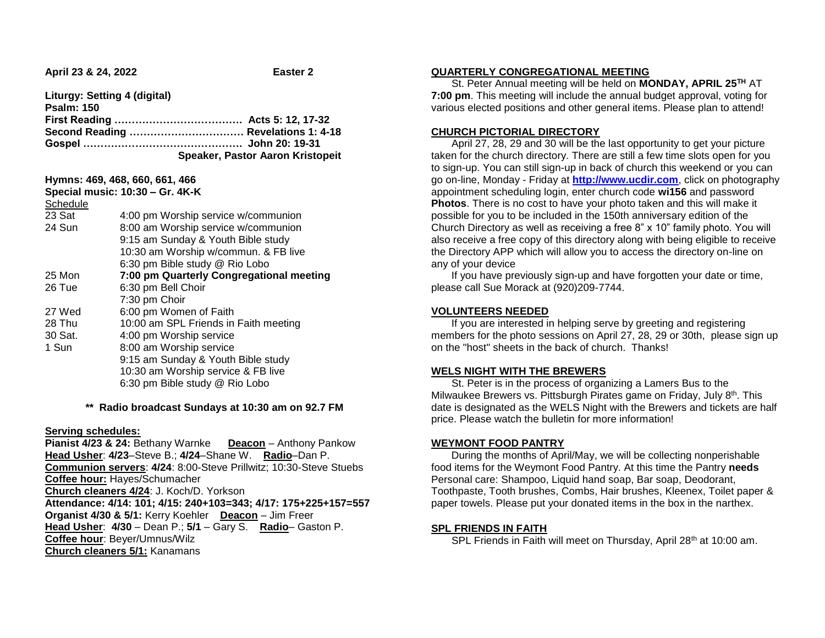**April 23 & 24, 2022 Easter 2** 

**Liturgy: Setting 4 (digital) Psalm: 150**

| PSAIIII. IJU |                                  |
|--------------|----------------------------------|
|              |                                  |
|              |                                  |
|              |                                  |
|              | Speaker, Pastor Aaron Kristopeit |

#### **Hymns: 469, 468, 660, 661, 466**

**Special music: 10:30 – Gr. 4K-K** Schedule 23 Sat 4:00 pm Worship service w/communion 24 Sun 8:00 am Worship service w/communion 9:15 am Sunday & Youth Bible study 10:30 am Worship w/commun. & FB live 6:30 pm Bible study @ Rio Lobo 25 Mon **7:00 pm Quarterly Congregational meeting** 26 Tue 6:30 pm Bell Choir 7:30 pm Choir 27 Wed 6:00 pm Women of Faith 28 Thu 10:00 am SPL Friends in Faith meeting 30 Sat. 4:00 pm Worship service 1 Sun 8:00 am Worship service 9:15 am Sunday & Youth Bible study 10:30 am Worship service & FB live 6:30 pm Bible study @ Rio Lobo

# **\*\* Radio broadcast Sundays at 10:30 am on 92.7 FM**

## **Serving schedules:**

**Pianist 4/23 & 24:** Bethany Warnke **Deacon** – Anthony Pankow **Head Usher**: **4/23**–Steve B.; **4/24**–Shane W. **Radio**–Dan P. **Communion servers**: **4/24**: 8:00-Steve Prillwitz; 10:30-Steve Stuebs **Coffee hour:** Hayes/Schumacher **Church cleaners 4/24**: J. Koch/D. Yorkson **Attendance: 4/14: 101; 4/15: 240+103=343; 4/17: 175+225+157=557 Organist 4/30 & 5/1:** Kerry Koehler **Deacon** – Jim Freer **Head Usher**: **4/30** – Dean P.; **5/1** – Gary S. **Radio**– Gaston P. **Coffee hour**: Beyer/Umnus/Wilz **Church cleaners 5/1:** Kanamans

#### **QUARTERLY CONGREGATIONAL MEETING**

 St. Peter Annual meeting will be held on **MONDAY, APRIL 25TH** AT **7:00 pm**. This meeting will include the annual budget approval, voting for various elected positions and other general items. Please plan to attend!

# **CHURCH PICTORIAL DIRECTORY**

 April 27, 28, 29 and 30 will be the last opportunity to get your picture taken for the church directory. There are still a few time slots open for you to sign-up. You can still sign-up in back of church this weekend or you can go on-line, Monday - Friday at **[http://www.ucdir.com](https://linkprotect.cudasvc.com/url?a=http%3a%2f%2fwww.ucdir.com&c=E,1,FqJS7hfE-CNTU91grq9Cghj3_twDTNAjtp5HLCV8EOMJcRCmMES12ETdIjpWS4n2udqUF6ynMCfn27BOXnxxqgVZcDUiuB7EnlcLzphjW9dymFjslg93QlU054_V&typo=1&ancr_add=1)**, click on photography appointment scheduling login, enter church code **wi156** and password **Photos**. There is no cost to have your photo taken and this will make it possible for you to be included in the 150th anniversary edition of the Church Directory as well as receiving a free 8" x 10" family photo. You will also receive a free copy of this directory along with being eligible to receive the Directory APP which will allow you to access the directory on-line on any of your device

 If you have previously sign-up and have forgotten your date or time, please call Sue Morack at (920)209-7744.

## **VOLUNTEERS NEEDED**

 If you are interested in helping serve by greeting and registering members for the photo sessions on April 27, 28, 29 or 30th, please sign up on the "host" sheets in the back of church. Thanks!

## **WELS NIGHT WITH THE BREWERS**

 St. Peter is in the process of organizing a Lamers Bus to the Milwaukee Brewers vs. Pittsburgh Pirates game on Friday, July 8<sup>th</sup>. This date is designated as the WELS Night with the Brewers and tickets are half price. Please watch the bulletin for more information!

#### **WEYMONT FOOD PANTRY**

 During the months of April/May, we will be collecting nonperishable food items for the Weymont Food Pantry. At this time the Pantry **needs**  Personal care: Shampoo, Liquid hand soap, Bar soap, Deodorant, Toothpaste, Tooth brushes, Combs, Hair brushes, Kleenex, Toilet paper & paper towels. Please put your donated items in the box in the narthex.

## **SPL FRIENDS IN FAITH**

SPL Friends in Faith will meet on Thursday, April 28<sup>th</sup> at 10:00 am.